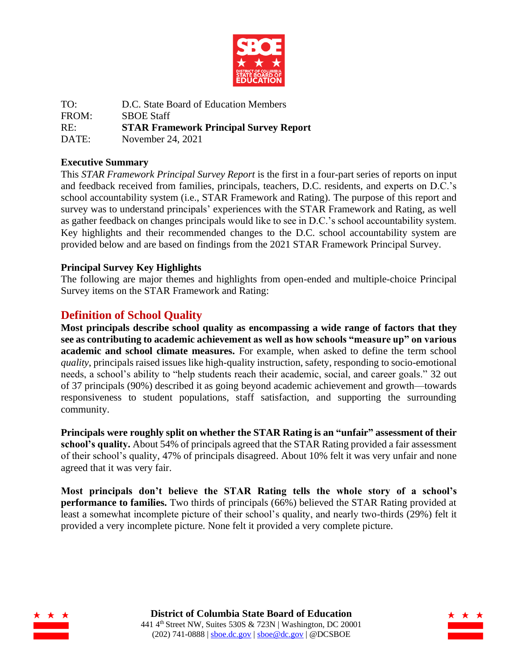

TO: D.C. State Board of Education Members FROM: SBOE Staff RE: **STAR Framework Principal Survey Report** DATE: November 24, 2021

### **Executive Summary**

This *STAR Framework Principal Survey Report* is the first in a four-part series of reports on input and feedback received from families, principals, teachers, D.C. residents, and experts on D.C.'s school accountability system (i.e., STAR Framework and Rating). The purpose of this report and survey was to understand principals' experiences with the STAR Framework and Rating, as well as gather feedback on changes principals would like to see in D.C.'s school accountability system. Key highlights and their recommended changes to the D.C. school accountability system are provided below and are based on findings from the 2021 STAR Framework Principal Survey.

## **Principal Survey Key Highlights**

The following are major themes and highlights from open-ended and multiple-choice Principal Survey items on the STAR Framework and Rating:

## **Definition of School Quality**

**Most principals describe school quality as encompassing a wide range of factors that they see as contributing to academic achievement as well as how schools "measure up" on various academic and school climate measures.** For example, when asked to define the term school *quality*, principals raised issues like high-quality instruction, safety, responding to socio-emotional needs, a school's ability to "help students reach their academic, social, and career goals." 32 out of 37 principals (90%) described it as going beyond academic achievement and growth—towards responsiveness to student populations, staff satisfaction, and supporting the surrounding community.

**Principals were roughly split on whether the STAR Rating is an "unfair" assessment of their school's quality.** About 54% of principals agreed that the STAR Rating provided a fair assessment of their school's quality, 47% of principals disagreed. About 10% felt it was very unfair and none agreed that it was very fair.

**Most principals don't believe the STAR Rating tells the whole story of a school's performance to families.** Two thirds of principals (66%) believed the STAR Rating provided at least a somewhat incomplete picture of their school's quality, and nearly two-thirds (29%) felt it provided a very incomplete picture. None felt it provided a very complete picture.



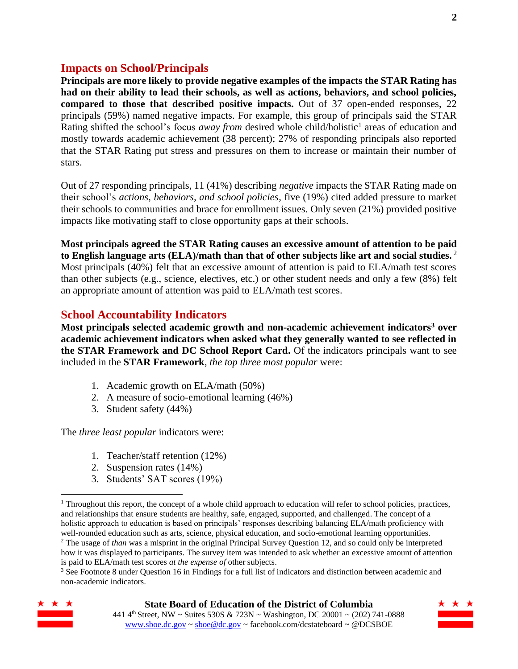## **Impacts on School/Principals**

**Principals are more likely to provide negative examples of the impacts the STAR Rating has had on their ability to lead their schools, as well as actions, behaviors, and school policies, compared to those that described positive impacts.** Out of 37 open-ended responses, 22 principals (59%) named negative impacts. For example, this group of principals said the STAR Rating shifted the school's focus *away from* desired whole child/holistic<sup>1</sup> areas of education and mostly towards academic achievement (38 percent); 27% of responding principals also reported that the STAR Rating put stress and pressures on them to increase or maintain their number of stars.

Out of 27 responding principals, 11 (41%) describing *negative* impacts the STAR Rating made on their school's *actions, behaviors, and school policies*, five (19%) cited added pressure to market their schools to communities and brace for enrollment issues. Only seven (21%) provided positive impacts like motivating staff to close opportunity gaps at their schools.

**Most principals agreed the STAR Rating causes an excessive amount of attention to be paid to English language arts (ELA)/math than that of other subjects like art and social studies.** <sup>2</sup> Most principals (40%) felt that an excessive amount of attention is paid to ELA/math test scores than other subjects (e.g., science, electives, etc.) or other student needs and only a few (8%) felt an appropriate amount of attention was paid to ELA/math test scores.

## **School Accountability Indicators**

**Most principals selected academic growth and non-academic achievement indicators<sup>3</sup> over academic achievement indicators when asked what they generally wanted to see reflected in the STAR Framework and DC School Report Card.** Of the indicators principals want to see included in the **STAR Framework**, *the top three most popular* were:

- 1. Academic growth on ELA/math (50%)
- 2. A measure of socio-emotional learning (46%)
- 3. Student safety (44%)

The *three least popular* indicators were:

- 1. Teacher/staff retention (12%)
- 2. Suspension rates (14%)
- 3. Students' SAT scores (19%)

<sup>3</sup> See Footnote 8 under Question 16 in Findings for a full list of indicators and distinction between academic and non-academic indicators.



#### **State Board of Education of the District of Columbia**

441 4th Street, NW ~ Suites 530S & 723N ~ Washington, DC 20001 ~ (202) 741-0888 [www.sboe.dc.gov](http://www.sboe.dc.gov/) [~ sboe@dc.gov](mailto:sboe@dc.gov) ~ facebook.com/dcstateboard ~ @DCSBOE

<sup>&</sup>lt;sup>1</sup> Throughout this report, the concept of a whole child approach to education will refer to school policies, practices, and relationships that ensure students are healthy, safe, engaged, supported, and challenged. The concept of a holistic approach to education is based on principals' responses describing balancing ELA/math proficiency with well-rounded education such as arts, science, physical education, and socio-emotional learning opportunities. <sup>2</sup> The usage of *than* was a misprint in the original Principal Survey Question 12, and so could only be interpreted how it was displayed to participants. The survey item was intended to ask whether an excessive amount of attention is paid to ELA/math test scores *at the expense of* other subjects.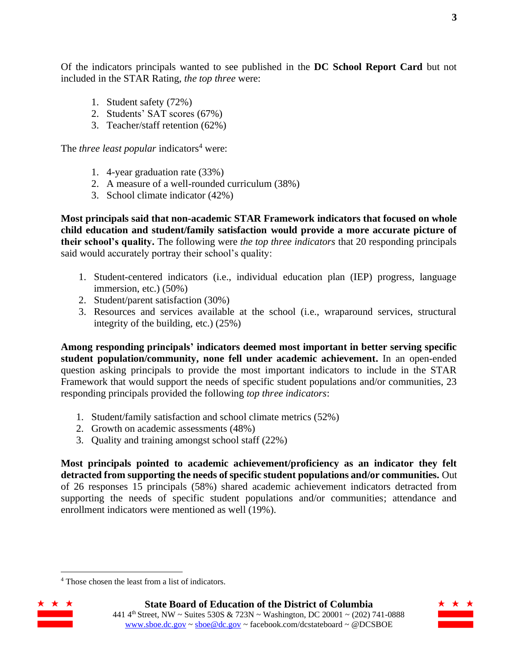- 1. Student safety (72%)
- 2. Students' SAT scores (67%)
- 3. Teacher/staff retention (62%)

The *three least popular* indicators<sup>4</sup> were:

- 1. 4-year graduation rate (33%)
- 2. A measure of a well-rounded curriculum (38%)
- 3. School climate indicator (42%)

**Most principals said that non-academic STAR Framework indicators that focused on whole child education and student/family satisfaction would provide a more accurate picture of their school's quality.** The following were *the top three indicators* that 20 responding principals said would accurately portray their school's quality:

- 1. Student-centered indicators (i.e., individual education plan (IEP) progress, language immersion, etc.) (50%)
- 2. Student/parent satisfaction (30%)
- 3. Resources and services available at the school (i.e., wraparound services, structural integrity of the building, etc.) (25%)

**Among responding principals' indicators deemed most important in better serving specific student population/community, none fell under academic achievement.** In an open-ended question asking principals to provide the most important indicators to include in the STAR Framework that would support the needs of specific student populations and/or communities, 23 responding principals provided the following *top three indicators*:

- 1. Student/family satisfaction and school climate metrics (52%)
- 2. Growth on academic assessments (48%)
- 3. Quality and training amongst school staff (22%)

**Most principals pointed to academic achievement/proficiency as an indicator they felt detracted from supporting the needs of specific student populations and/or communities.** Out of 26 responses 15 principals (58%) shared academic achievement indicators detracted from supporting the needs of specific student populations and/or communities; attendance and enrollment indicators were mentioned as well (19%).

<sup>4</sup> Those chosen the least from a list of indicators.



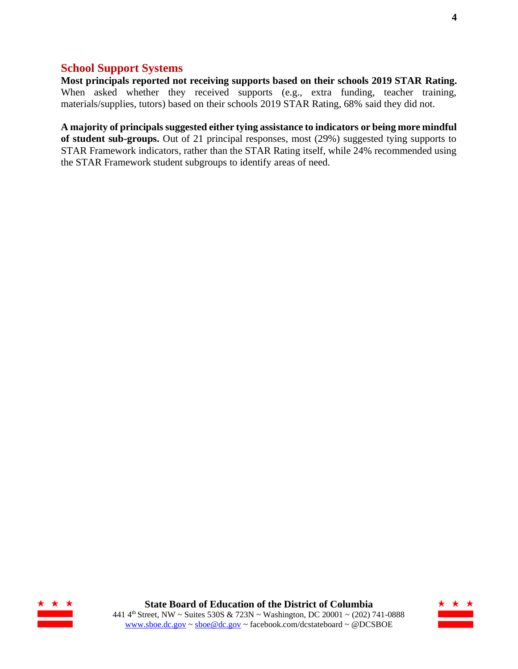## **School Support Systems**

**Most principals reported not receiving supports based on their schools 2019 STAR Rating.** When asked whether they received supports (e.g., extra funding, teacher training, materials/supplies, tutors) based on their schools 2019 STAR Rating, 68% said they did not.

**A majority of principals suggested either tying assistance to indicators or being more mindful of student sub-groups.** Out of 21 principal responses, most (29%) suggested tying supports to STAR Framework indicators, rather than the STAR Rating itself, while 24% recommended using the STAR Framework student subgroups to identify areas of need.



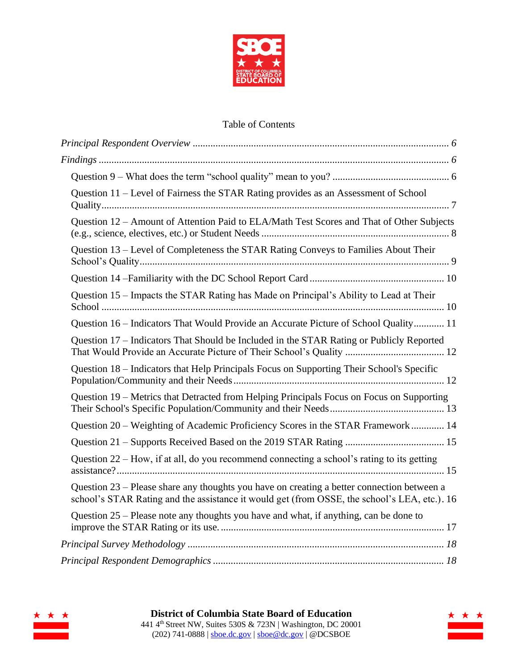

## Table of Contents

| Question 11 – Level of Fairness the STAR Rating provides as an Assessment of School                                                                                                        |  |
|--------------------------------------------------------------------------------------------------------------------------------------------------------------------------------------------|--|
| Ouestion 12 - Amount of Attention Paid to ELA/Math Test Scores and That of Other Subjects                                                                                                  |  |
| Question 13 – Level of Completeness the STAR Rating Conveys to Families About Their                                                                                                        |  |
|                                                                                                                                                                                            |  |
| Question 15 – Impacts the STAR Rating has Made on Principal's Ability to Lead at Their                                                                                                     |  |
| Question 16 – Indicators That Would Provide an Accurate Picture of School Quality 11                                                                                                       |  |
| Question 17 – Indicators That Should be Included in the STAR Rating or Publicly Reported                                                                                                   |  |
| Question 18 – Indicators that Help Principals Focus on Supporting Their School's Specific                                                                                                  |  |
| Question 19 – Metrics that Detracted from Helping Principals Focus on Focus on Supporting                                                                                                  |  |
| Question 20 – Weighting of Academic Proficiency Scores in the STAR Framework 14                                                                                                            |  |
|                                                                                                                                                                                            |  |
| Question 22 – How, if at all, do you recommend connecting a school's rating to its getting                                                                                                 |  |
| Question 23 - Please share any thoughts you have on creating a better connection between a<br>school's STAR Rating and the assistance it would get (from OSSE, the school's LEA, etc.). 16 |  |
| Question 25 – Please note any thoughts you have and what, if anything, can be done to                                                                                                      |  |
|                                                                                                                                                                                            |  |
|                                                                                                                                                                                            |  |



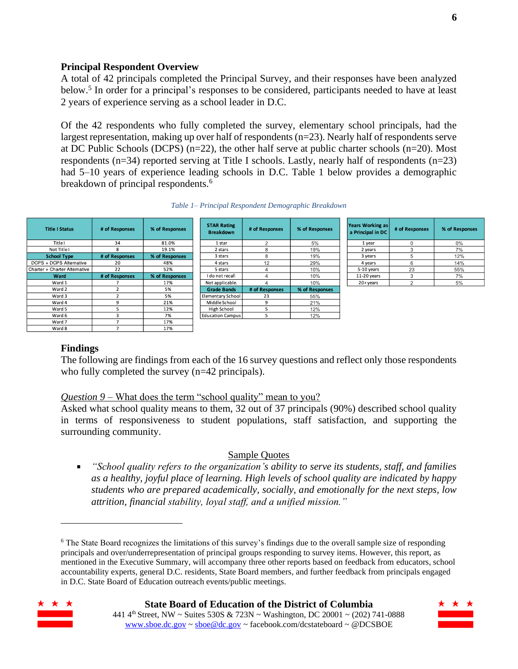#### <span id="page-5-0"></span>**Principal Respondent Overview**

A total of 42 principals completed the Principal Survey, and their responses have been analyzed below. 5 In order for a principal's responses to be considered, participants needed to have at least 2 years of experience serving as a school leader in D.C.

Of the 42 respondents who fully completed the survey, elementary school principals, had the largest representation, making up over half of respondents (n=23). Nearly half of respondents serve at DC Public Schools (DCPS) (n=22), the other half serve at public charter schools (n=20). Most respondents (n=34) reported serving at Title I schools. Lastly, nearly half of respondents (n=23) had 5–10 years of experience leading schools in D.C. Table 1 below provides a demographic breakdown of principal respondents.<sup>6</sup>

| <b>Title I Status</b>         | # of Responses | % of Responses | <b>STAR Rating</b><br><b>Breakdown</b> | # of Responses | % of Responses |               | <b>Years Working as</b><br># of Responses<br>a Principal in DC |
|-------------------------------|----------------|----------------|----------------------------------------|----------------|----------------|---------------|----------------------------------------------------------------|
| <b>Title I</b>                | 34             | 81.0%          | 1 star                                 | $\sim$         | 5%             | 1 year        |                                                                |
| Not Title I                   |                | 19.1%          | 2 stars                                |                | 19%            | 2 years       |                                                                |
| <b>School Type</b>            | # of Responses | % of Responses | 3 stars                                | 8              | 19%            | 3 years       |                                                                |
| DCPS + DCPS Alternative       | 20             | 48%            | 4 stars                                | 12             | 29%            | 4 years       | 6                                                              |
| Charter + Charter Alternative | 22             | 52%            | 5 stars                                |                | 10%            | 5-10 years    | 23                                                             |
| Ward                          | # of Responses | % of Responses | I do not recall                        |                | 10%            | $11-20$ years | 3                                                              |
| Ward 1                        |                | 17%            | Not applicable.                        |                | 10%            | 20+years      |                                                                |
| Ward 2                        |                | 5%             | <b>Grade Bands</b>                     | # of Responses | % of Responses |               |                                                                |
| Ward 3                        |                | 5%             | Elementary School                      | 23             | 55%            |               |                                                                |
| Ward 4                        | Q              | 21%            | Middle School                          | 9              | 21%            |               |                                                                |
| Ward 5                        |                | 12%            | High School                            |                | 12%            |               |                                                                |
| Ward 6                        |                | 7%             | <b>Education Campus</b>                | $\mathcal{D}$  | 12%            |               |                                                                |
| Ward 7                        |                | 17%            |                                        |                |                |               |                                                                |
| Ward 8                        |                | 17%            |                                        |                |                |               |                                                                |

#### <span id="page-5-1"></span>**Findings**

The following are findings from each of the 16 survey questions and reflect only those respondents who fully completed the survey (n=42 principals).

#### <span id="page-5-2"></span>*Question 9* – What does the term "school quality" mean to you?

Asked what school quality means to them, 32 out of 37 principals (90%) described school quality in terms of responsiveness to student populations, staff satisfaction, and supporting the surrounding community.

#### Sample Quotes

*"School quality refers to the organization's ability to serve its students, staff, and families as a healthy, joyful place of learning. High levels of school quality are indicated by happy students who are prepared academically, socially, and emotionally for the next steps, low attrition, financial stability, loyal staff, and a unified mission."*

<sup>&</sup>lt;sup>6</sup> The State Board recognizes the limitations of this survey's findings due to the overall sample size of responding principals and over/underrepresentation of principal groups responding to survey items. However, this report, as mentioned in the Executive Summary, will accompany three other reports based on feedback from educators, school accountability experts, general D.C. residents, State Board members, and further feedback from principals engaged in D.C. State Board of Education outreach events/public meetings.

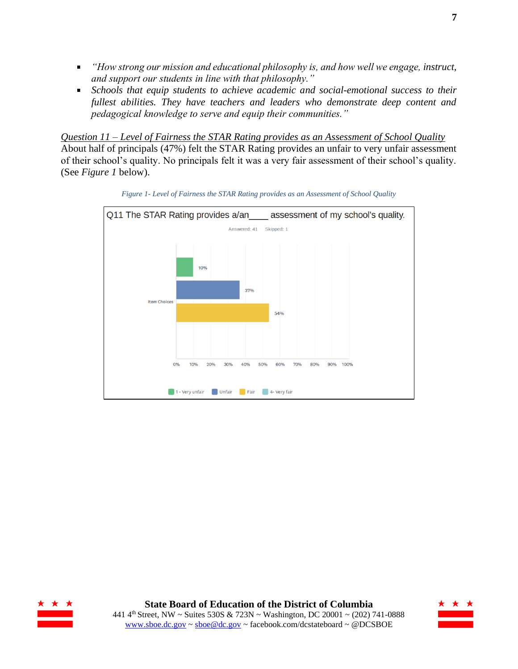- *"How strong our mission and educational philosophy is, and how well we engage, instruct, and support our students in line with that philosophy."*
- $\mathbf{u}$  . *Schools that equip students to achieve academic and social-emotional success to their fullest abilities. They have teachers and leaders who demonstrate deep content and pedagogical knowledge to serve and equip their communities."*

<span id="page-6-0"></span>*Question 11 – Level of Fairness the STAR Rating provides as an Assessment of School Quality* About half of principals (47%) felt the STAR Rating provides an unfair to very unfair assessment of their school's quality. No principals felt it was a very fair assessment of their school's quality. (See *Figure 1* below).



*Figure 1- Level of Fairness the STAR Rating provides as an Assessment of School Quality*



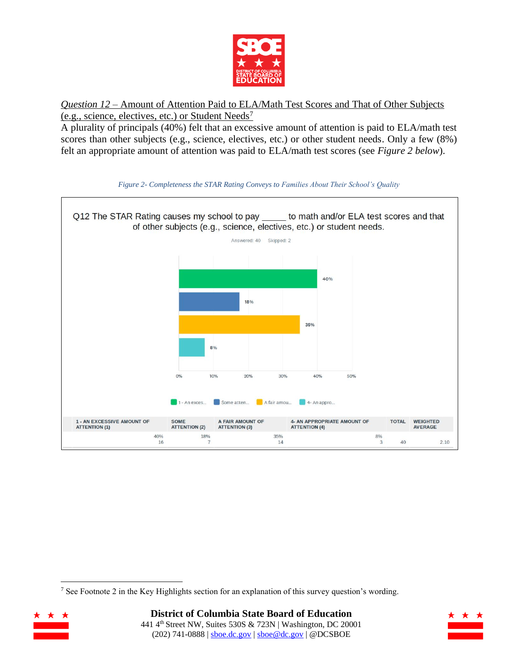

<span id="page-7-0"></span>*Question 12* – Amount of Attention Paid to ELA/Math Test Scores and That of Other Subjects (e.g., science, electives, etc.) or Student Needs<sup>7</sup>

A plurality of principals (40%) felt that an excessive amount of attention is paid to ELA/math test scores than other subjects (e.g., science, electives, etc.) or other student needs. Only a few (8%) felt an appropriate amount of attention was paid to ELA/math test scores (see *Figure 2 below*).



#### *Figure 2- Completeness the STAR Rating Conveys to Families About Their School's Quality*

<sup>&</sup>lt;sup>7</sup> See Footnote 2 in the Key Highlights section for an explanation of this survey question's wording.



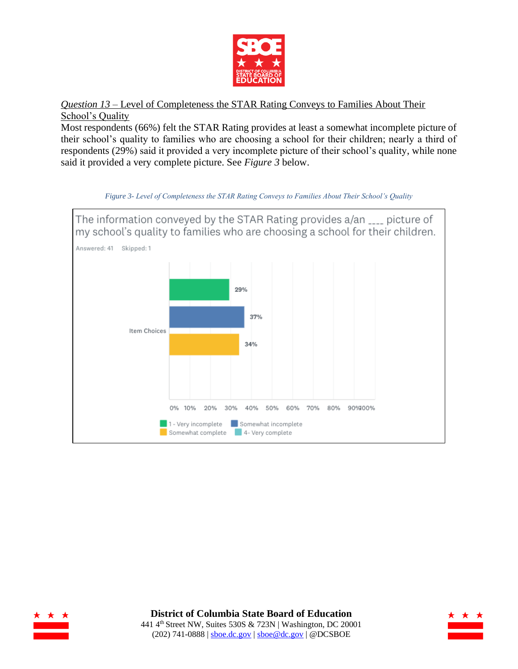

<span id="page-8-0"></span>*Question 13* – Level of Completeness the STAR Rating Conveys to Families About Their School's Quality

Most respondents (66%) felt the STAR Rating provides at least a somewhat incomplete picture of their school's quality to families who are choosing a school for their children; nearly a third of respondents (29%) said it provided a very incomplete picture of their school's quality, while none said it provided a very complete picture. See *Figure 3* below.



*Figure 3- Level of Completeness the STAR Rating Conveys to Families About Their School's Quality*



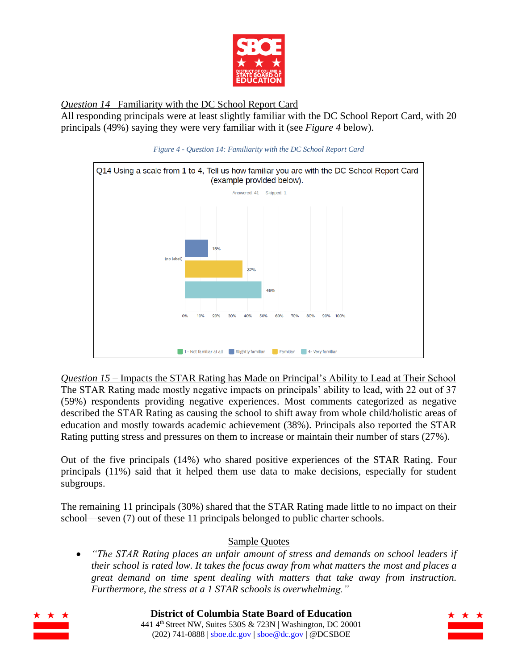

<span id="page-9-0"></span>*Question 14* –Familiarity with the DC School Report Card

All responding principals were at least slightly familiar with the DC School Report Card, with 20 principals (49%) saying they were very familiar with it (see *Figure 4* below).



*Figure 4 - Question 14: Familiarity with the DC School Report Card*

<span id="page-9-1"></span>*Question 15* – Impacts the STAR Rating has Made on Principal's Ability to Lead at Their School The STAR Rating made mostly negative impacts on principals' ability to lead, with 22 out of 37 (59%) respondents providing negative experiences. Most comments categorized as negative described the STAR Rating as causing the school to shift away from whole child/holistic areas of education and mostly towards academic achievement (38%). Principals also reported the STAR Rating putting stress and pressures on them to increase or maintain their number of stars (27%).

Out of the five principals (14%) who shared positive experiences of the STAR Rating. Four principals (11%) said that it helped them use data to make decisions, especially for student subgroups.

The remaining 11 principals (30%) shared that the STAR Rating made little to no impact on their school—seven (7) out of these 11 principals belonged to public charter schools.

## Sample Quotes

• *"The STAR Rating places an unfair amount of stress and demands on school leaders if their school is rated low. It takes the focus away from what matters the most and places a great demand on time spent dealing with matters that take away from instruction. Furthermore, the stress at a 1 STAR schools is overwhelming."*



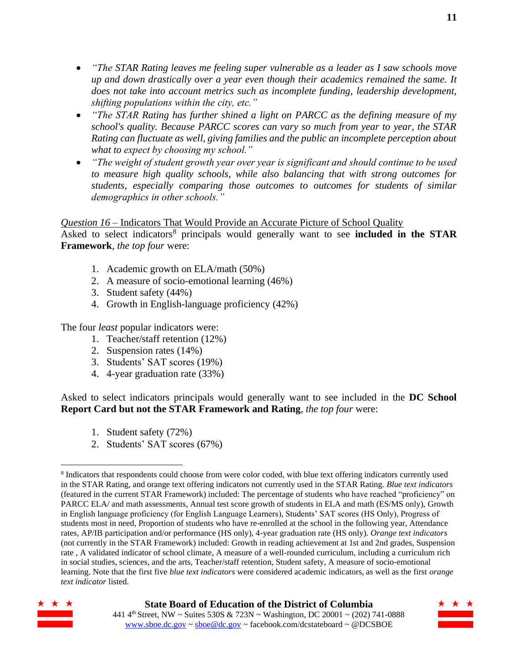- *"The STAR Rating leaves me feeling super vulnerable as a leader as I saw schools move up and down drastically over a year even though their academics remained the same. It does not take into account metrics such as incomplete funding, leadership development, shifting populations within the city, etc."*
- *"The STAR Rating has further shined a light on PARCC as the defining measure of my school's quality. Because PARCC scores can vary so much from year to year, the STAR Rating can fluctuate as well, giving families and the public an incomplete perception about what to expect by choosing my school."*
- *"The weight of student growth year over year is significant and should continue to be used to measure high quality schools, while also balancing that with strong outcomes for students, especially comparing those outcomes to outcomes for students of similar demographics in other schools."*

### <span id="page-10-0"></span>*Question 16* – Indicators That Would Provide an Accurate Picture of School Quality

Asked to select indicators<sup>8</sup> principals would generally want to see **included in the STAR Framework**, *the top four* were:

- 1. Academic growth on ELA/math (50%)
- 2. A measure of socio-emotional learning (46%)
- 3. Student safety (44%)
- 4. Growth in English-language proficiency (42%)

The four *least* popular indicators were:

- 1. Teacher/staff retention (12%)
- 2. Suspension rates (14%)
- 3. Students' SAT scores (19%)
- 4. 4-year graduation rate (33%)

Asked to select indicators principals would generally want to see included in the **DC School Report Card but not the STAR Framework and Rating**, *the top four* were:

- 1. Student safety (72%)
- 2. Students' SAT scores (67%)

<sup>&</sup>lt;sup>8</sup> Indicators that respondents could choose from were color coded, with blue text offering indicators currently used in the STAR Rating, and orange text offering indicators not currently used in the STAR Rating. *Blue text indicators* (featured in the current STAR Framework) included: The percentage of students who have reached "proficiency" on PARCC ELA/ and math assessments, Annual test score growth of students in ELA and math (ES/MS only), Growth in English language proficiency (for English Language Learners), Students' SAT scores (HS Only), Progress of students most in need, Proportion of students who have re-enrolled at the school in the following year, Attendance rates, AP/IB participation and/or performance (HS only), 4-year graduation rate (HS only). *Orange text indicators* (not currently in the STAR Framework) included: Growth in reading achievement at 1st and 2nd grades, Suspension rate , A validated indicator of school climate, A measure of a well-rounded curriculum, including a curriculum rich in social studies, sciences, and the arts, Teacher/staff retention, Student safety, A measure of socio-emotional learning. Note that the first five *blue text indicators* were considered academic indicators, as well as the first *orange text indicator* listed.



### **State Board of Education of the District of Columbia**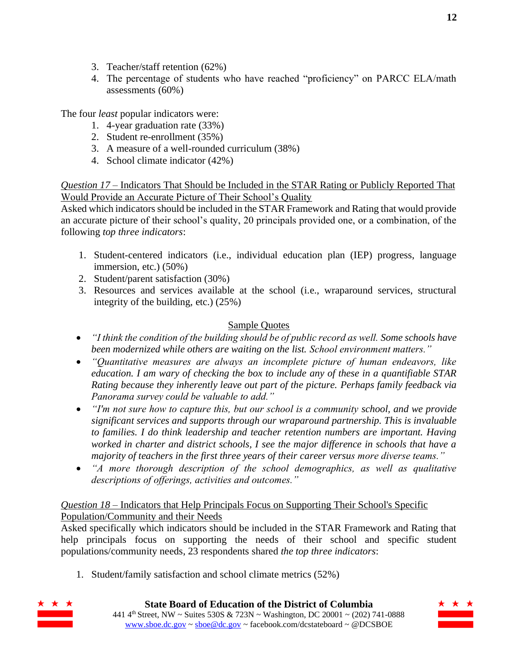- 3. Teacher/staff retention (62%)
- 4. The percentage of students who have reached "proficiency" on PARCC ELA/math assessments (60%)

The four *least* popular indicators were:

- 1. 4-year graduation rate (33%)
- 2. Student re-enrollment (35%)
- 3. A measure of a well-rounded curriculum (38%)
- 4. School climate indicator (42%)

<span id="page-11-0"></span>*Question 17* – Indicators That Should be Included in the STAR Rating or Publicly Reported That Would Provide an Accurate Picture of Their School's Quality

Asked which indicators should be included in the STAR Framework and Rating that would provide an accurate picture of their school's quality, 20 principals provided one, or a combination, of the following *top three indicators*:

- 1. Student-centered indicators (i.e., individual education plan (IEP) progress, language immersion, etc.) (50%)
- 2. Student/parent satisfaction (30%)
- 3. Resources and services available at the school (i.e., wraparound services, structural integrity of the building, etc.) (25%)

## Sample Quotes

- *"I think the condition of the building should be of public record as well. Some schools have been modernized while others are waiting on the list. School environment matters."*
- *"Quantitative measures are always an incomplete picture of human endeavors, like education. I am wary of checking the box to include any of these in a quantifiable STAR Rating because they inherently leave out part of the picture. Perhaps family feedback via Panorama survey could be valuable to add."*
- *"I'm not sure how to capture this, but our school is a community school, and we provide significant services and supports through our wraparound partnership. This is invaluable to families. I do think leadership and teacher retention numbers are important. Having worked in charter and district schools, I see the major difference in schools that have a majority of teachers in the first three years of their career versus more diverse teams."*
- *"A more thorough description of the school demographics, as well as qualitative descriptions of offerings, activities and outcomes."*

### <span id="page-11-1"></span>*Question 18* – Indicators that Help Principals Focus on Supporting Their School's Specific Population/Community and their Needs

Asked specifically which indicators should be included in the STAR Framework and Rating that help principals focus on supporting the needs of their school and specific student populations/community needs, 23 respondents shared *the top three indicators*:

1. Student/family satisfaction and school climate metrics (52%)



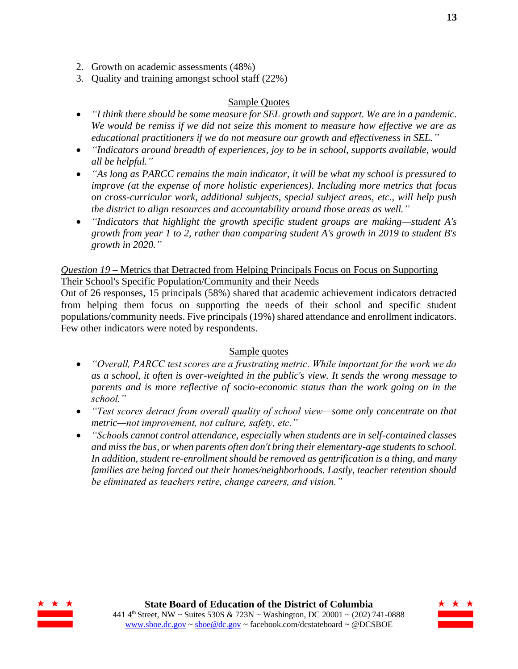- 2. Growth on academic assessments (48%)
- 3. Quality and training amongst school staff (22%)

#### Sample Quotes

- *"I think there should be some measure for SEL growth and support. We are in a pandemic. We would be remiss if we did not seize this moment to measure how effective we are as educational practitioners if we do not measure our growth and effectiveness in SEL."*
- *"Indicators around breadth of experiences, joy to be in school, supports available, would all be helpful."*
- *"As long as PARCC remains the main indicator, it will be what my school is pressured to improve (at the expense of more holistic experiences). Including more metrics that focus on cross-curricular work, additional subjects, special subject areas, etc., will help push the district to align resources and accountability around those areas as well."*
- *"Indicators that highlight the growth specific student groups are making—student A's growth from year 1 to 2, rather than comparing student A's growth in 2019 to student B's growth in 2020."*

#### <span id="page-12-0"></span>*Question 19* – Metrics that Detracted from Helping Principals Focus on Focus on Supporting Their School's Specific Population/Community and their Needs

Out of 26 responses, 15 principals (58%) shared that academic achievement indicators detracted from helping them focus on supporting the needs of their school and specific student populations/community needs. Five principals (19%) shared attendance and enrollment indicators. Few other indicators were noted by respondents.

#### Sample quotes

- *"Overall, PARCC test scores are a frustrating metric. While important for the work we do as a school, it often is over-weighted in the public's view. It sends the wrong message to parents and is more reflective of socio-economic status than the work going on in the school."*
- *"Test scores detract from overall quality of school view—some only concentrate on that metric—not improvement, not culture, safety, etc."*
- *"Schools cannot control attendance, especially when students are in self-contained classes and miss the bus, or when parents often don't bring their elementary-age students to school. In addition, student re-enrollment should be removed as gentrification is a thing, and many families are being forced out their homes/neighborhoods. Lastly, teacher retention should be eliminated as teachers retire, change careers, and vision."*



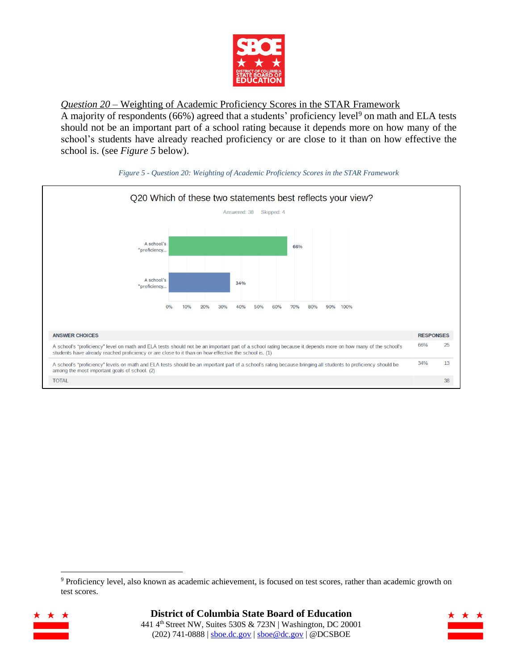

<span id="page-13-0"></span>*Question 20* – Weighting of Academic Proficiency Scores in the STAR Framework

A majority of respondents (66%) agreed that a students' proficiency level<sup>9</sup> on math and ELA tests should not be an important part of a school rating because it depends more on how many of the school's students have already reached proficiency or are close to it than on how effective the school is. (see *Figure 5* below).





<sup>9</sup> Proficiency level, also known as academic achievement, is focused on test scores, rather than academic growth on test scores.



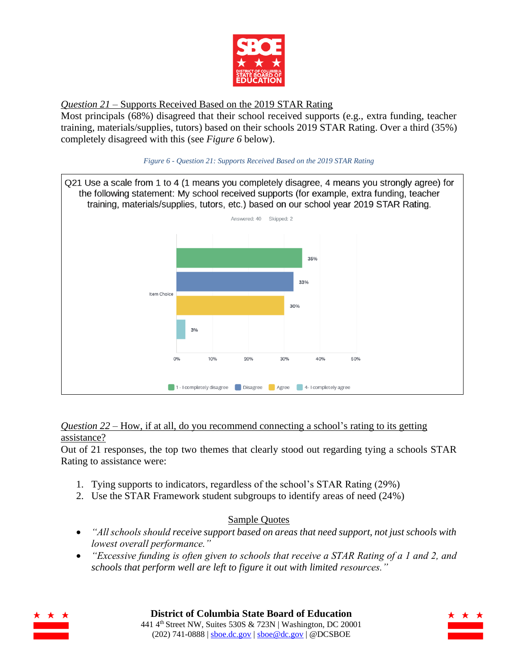

<span id="page-14-0"></span>*Question 21* – Supports Received Based on the 2019 STAR Rating

Most principals (68%) disagreed that their school received supports (e.g., extra funding, teacher training, materials/supplies, tutors) based on their schools 2019 STAR Rating. Over a third (35%) completely disagreed with this (see *Figure 6* below).





#### <span id="page-14-1"></span>*Question 22* – How, if at all, do you recommend connecting a school's rating to its getting assistance?

Out of 21 responses, the top two themes that clearly stood out regarding tying a schools STAR Rating to assistance were:

- 1. Tying supports to indicators, regardless of the school's STAR Rating (29%)
- 2. Use the STAR Framework student subgroups to identify areas of need (24%)

## Sample Quotes

- *"All schools should receive support based on areas that need support, not just schools with lowest overall performance."*
- *"Excessive funding is often given to schools that receive a STAR Rating of a 1 and 2, and schools that perform well are left to figure it out with limited resources."*



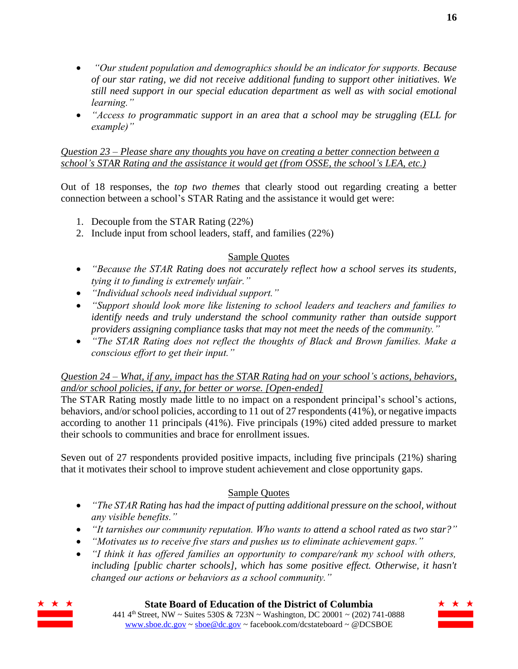- *"Our student population and demographics should be an indicator for supports. Because of our star rating, we did not receive additional funding to support other initiatives. We still need support in our special education department as well as with social emotional learning."*
- *"Access to programmatic support in an area that a school may be struggling (ELL for example)"*

<span id="page-15-0"></span>*Question 23 – Please share any thoughts you have on creating a better connection between a school's STAR Rating and the assistance it would get (from OSSE, the school's LEA, etc.)*

Out of 18 responses, the *top two themes* that clearly stood out regarding creating a better connection between a school's STAR Rating and the assistance it would get were:

- 1. Decouple from the STAR Rating (22%)
- 2. Include input from school leaders, staff, and families (22%)

## Sample Quotes

- *"Because the STAR Rating does not accurately reflect how a school serves its students, tying it to funding is extremely unfair."*
- *"Individual schools need individual support."*
- *"Support should look more like listening to school leaders and teachers and families to identify needs and truly understand the school community rather than outside support providers assigning compliance tasks that may not meet the needs of the community."*
- *"The STAR Rating does not reflect the thoughts of Black and Brown families. Make a conscious effort to get their input."*

### *Question 24 – What, if any, impact has the STAR Rating had on your school's actions, behaviors, and/or school policies, if any, for better or worse. [Open-ended]*

The STAR Rating mostly made little to no impact on a respondent principal's school's actions, behaviors, and/or school policies, according to 11 out of 27 respondents (41%), or negative impacts according to another 11 principals (41%). Five principals (19%) cited added pressure to market their schools to communities and brace for enrollment issues.

Seven out of 27 respondents provided positive impacts, including five principals (21%) sharing that it motivates their school to improve student achievement and close opportunity gaps.

### Sample Quotes

- *"The STAR Rating has had the impact of putting additional pressure on the school, without any visible benefits."*
- *"It tarnishes our community reputation. Who wants to attend a school rated as two star?"*
- *"Motivates us to receive five stars and pushes us to eliminate achievement gaps."*
- *"I think it has offered families an opportunity to compare/rank my school with others, including [public charter schools], which has some positive effect. Otherwise, it hasn't changed our actions or behaviors as a school community."*



**State Board of Education of the District of Columbia**

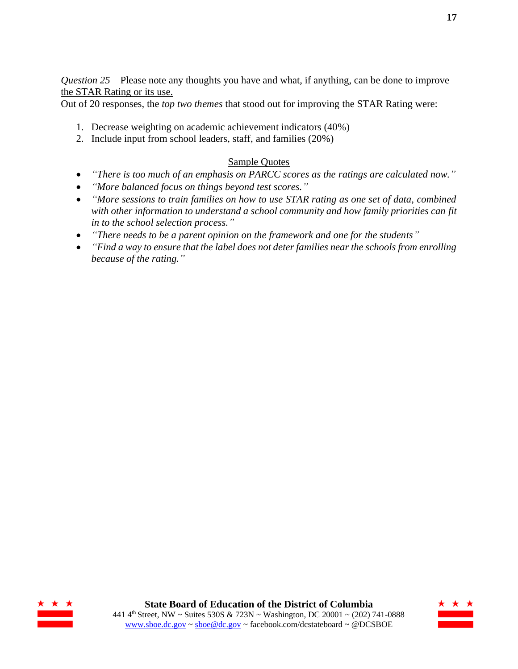<span id="page-16-0"></span>*Question 25* – Please note any thoughts you have and what, if anything, can be done to improve the STAR Rating or its use.

Out of 20 responses, the *top two themes* that stood out for improving the STAR Rating were:

- 1. Decrease weighting on academic achievement indicators (40%)
- 2. Include input from school leaders, staff, and families (20%)

### Sample Quotes

- *"There is too much of an emphasis on PARCC scores as the ratings are calculated now."*
- *"More balanced focus on things beyond test scores."*
- *"More sessions to train families on how to use STAR rating as one set of data, combined with other information to understand a school community and how family priorities can fit in to the school selection process."*
- *"There needs to be a parent opinion on the framework and one for the students"*
- *"Find a way to ensure that the label does not deter families near the schools from enrolling because of the rating."*



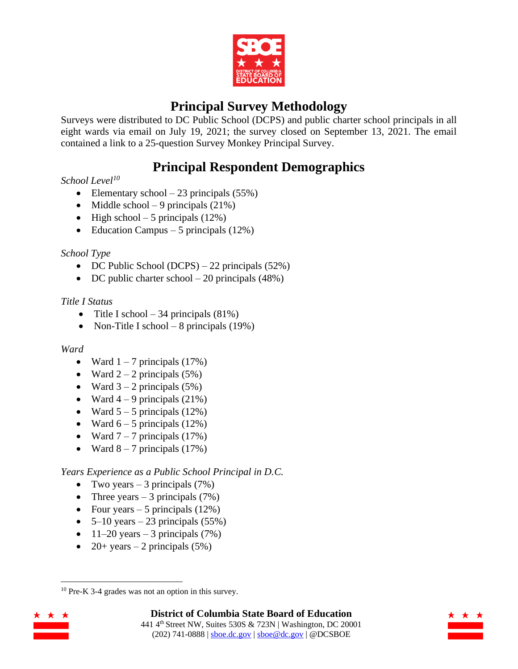

# **Principal Survey Methodology**

<span id="page-17-0"></span>Surveys were distributed to DC Public School (DCPS) and public charter school principals in all eight wards via email on July 19, 2021; the survey closed on September 13, 2021. The email contained a link to a 25-question Survey Monkey Principal Survey.

# **Principal Respondent Demographics**

## <span id="page-17-1"></span>*School Level<sup>10</sup>*

- Elementary school  $-23$  principals (55%)
- Middle school 9 principals  $(21\%)$
- High school 5 principals  $(12\%)$
- Education Campus 5 principals  $(12\%)$

### *School Type*

- DC Public School (DCPS) 22 principals (52%)
- DC public charter school  $-20$  principals (48%)

## *Title I Status*

- Title I school 34 principals  $(81\%)$
- Non-Title I school 8 principals  $(19\%)$

### *Ward*

- Ward  $1 7$  principals  $(17%)$
- Ward  $2 2$  principals (5%)
- Ward  $3 2$  principals  $(5\%)$
- Ward  $4 9$  principals  $(21\%)$
- Ward  $5 5$  principals (12%)
- Ward  $6 5$  principals (12%)
- Ward  $7 7$  principals  $(17%)$
- Ward  $8 7$  principals (17%)

*Years Experience as a Public School Principal in D.C.*

- Two years  $-3$  principals (7%)
- Three years  $-3$  principals (7%)
- Four years  $-5$  principals (12%)
- $5-10$  years  $-23$  principals (55%)
- $11-20$  years  $-3$  principals (7%)
- 20+ years 2 principals  $(5%)$

<sup>10</sup> Pre-K 3-4 grades was not an option in this survey.